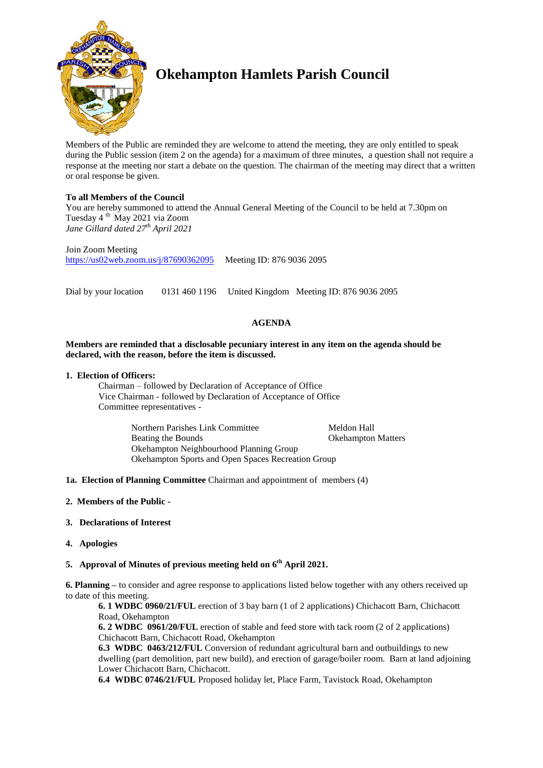

# **Okehampton Hamlets Parish Council**

Members of the Public are reminded they are welcome to attend the meeting, they are only entitled to speak during the Public session (item 2 on the agenda) for a maximum of three minutes, a question shall not require a response at the meeting nor start a debate on the question. The chairman of the meeting may direct that a written or oral response be given.

# **To all Members of the Council**

You are hereby summoned to attend the Annual General Meeting of the Council to be held at 7.30pm on Tuesday 4 th May 2021 via Zoom *Jane Gillard dated 27th April 2021*

Join Zoom Meeting <https://us02web.zoom.us/j/87690362095> Meeting ID: 876 9036 2095

Dial by your location 0131 460 1196 United Kingdom Meeting ID: 876 9036 2095

# **AGENDA**

## **Members are reminded that a disclosable pecuniary interest in any item on the agenda should be declared, with the reason, before the item is discussed.**

## **1. Election of Officers:**

Chairman – followed by Declaration of Acceptance of Office Vice Chairman - followed by Declaration of Acceptance of Office Committee representatives -

> Northern Parishes Link Committee Meldon Hall Beating the Bounds<br>
> Seating the Bounds<br>
> Beating the Bounds<br>
> Seating the Bounds<br>
> Seating the Bounds<br>
> Seating the Bounds<br>
> Seating the Bounds<br>
> Seating the Seating term is not all the Seating term is not all the Seating term i Okehampton Neighbourhood Planning Group Okehampton Sports and Open Spaces Recreation Group

**1a. Election of Planning Committee** Chairman and appointment of members (4)

- **2. Members of the Public -**
- **3. Declarations of Interest**
- **4. Apologies**

# **5. Approval of Minutes of previous meeting held on 6 th April 2021.**

**6. Planning –** to consider and agree response to applications listed below together with any others received up to date of this meeting.

**6. 1 WDBC 0960/21/FUL** erection of 3 bay barn (1 of 2 applications) Chichacott Barn, Chichacott Road, Okehampton

**6. 2 WDBC 0961/20/FUL** erection of stable and feed store with tack room (2 of 2 applications) Chichacott Barn, Chichacott Road, Okehampton

**6.3 WDBC 0463/212/FUL** Conversion of redundant agricultural barn and outbuildings to new dwelling (part demolition, part new build), and erection of garage/boiler room. Barn at land adjoining Lower Chichacott Barn, Chichacott.

**6.4 WDBC 0746/21/FUL** Proposed holiday let, Place Farm, Tavistock Road, Okehampton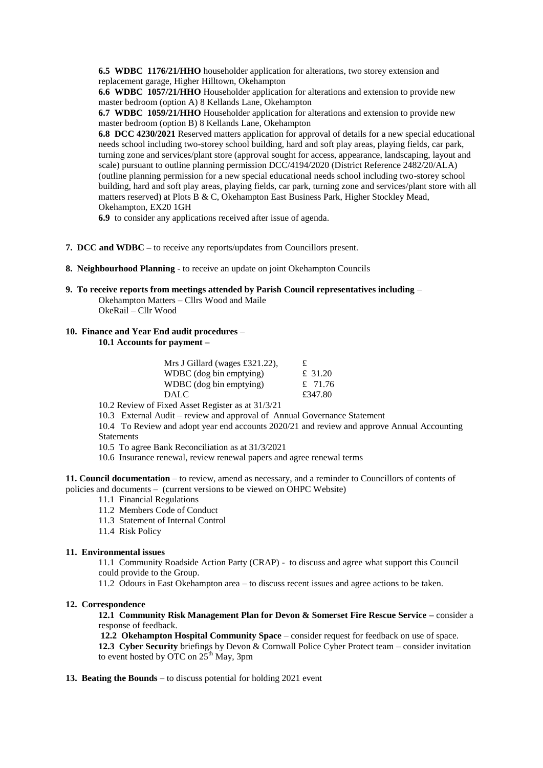**6.5 WDBC 1176/21/HHO** householder application for alterations, two storey extension and replacement garage, Higher Hilltown, Okehampton

**6.6 WDBC 1057/21/HHO** Householder application for alterations and extension to provide new master bedroom (option A) 8 Kellands Lane, Okehampton

**6.7 WDBC 1059/21/HHO** Householder application for alterations and extension to provide new master bedroom (option B) 8 Kellands Lane, Okehampton

**6.8 DCC 4230/2021** Reserved matters application for approval of details for a new special educational needs school including two-storey school building, hard and soft play areas, playing fields, car park, turning zone and services/plant store (approval sought for access, appearance, landscaping, layout and scale) pursuant to outline planning permission DCC/4194/2020 (District Reference 2482/20/ALA) (outline planning permission for a new special educational needs school including two-storey school building, hard and soft play areas, playing fields, car park, turning zone and services/plant store with all matters reserved) at Plots B & C, Okehampton East Business Park, Higher Stockley Mead, Okehampton, EX20 1GH

**6.9** to consider any applications received after issue of agenda.

- **7. DCC and WDBC –** to receive any reports/updates from Councillors present.
- **8. Neighbourhood Planning** to receive an update on joint Okehampton Councils
- **9. To receive reports from meetings attended by Parish Council representatives including** Okehampton Matters – Cllrs Wood and Maile

OkeRail – Cllr Wood

### **10. Finance and Year End audit procedures** –

**10.1 Accounts for payment –**

| Mrs J Gillard (wages £321.22), | £         |
|--------------------------------|-----------|
| WDBC (dog bin emptying)        | £ 31.20   |
| WDBC (dog bin emptying)        | £ $71.76$ |
| <b>DALC</b>                    | £347.80   |

10.2 Review of Fixed Asset Register as at 31/3/21

10.3 External Audit – review and approval of Annual Governance Statement

10.4 To Review and adopt year end accounts 2020/21 and review and approve Annual Accounting Statements

10.5 To agree Bank Reconciliation as at 31/3/2021

10.6 Insurance renewal, review renewal papers and agree renewal terms

**11. Council documentation** – to review, amend as necessary, and a reminder to Councillors of contents of policies and documents – (current versions to be viewed on OHPC Website)

- 11.1 Financial Regulations
- 11.2 Members Code of Conduct
- 11.3 Statement of Internal Control
- 11.4 Risk Policy

### **11. Environmental issues**

11.1 Community Roadside Action Party (CRAP) - to discuss and agree what support this Council could provide to the Group.

11.2 Odours in East Okehampton area – to discuss recent issues and agree actions to be taken.

### **12. Correspondence**

**12.1 Community Risk Management Plan for Devon & Somerset Fire Rescue Service –** consider a response of feedback.

**12.2 Okehampton Hospital Community Space** – consider request for feedback on use of space. **12.3 Cyber Security** briefings by Devon & Cornwall Police Cyber Protect team – consider invitation to event hosted by OTC on  $25<sup>th</sup>$  May, 3pm

**13. Beating the Bounds** – to discuss potential for holding 2021 event